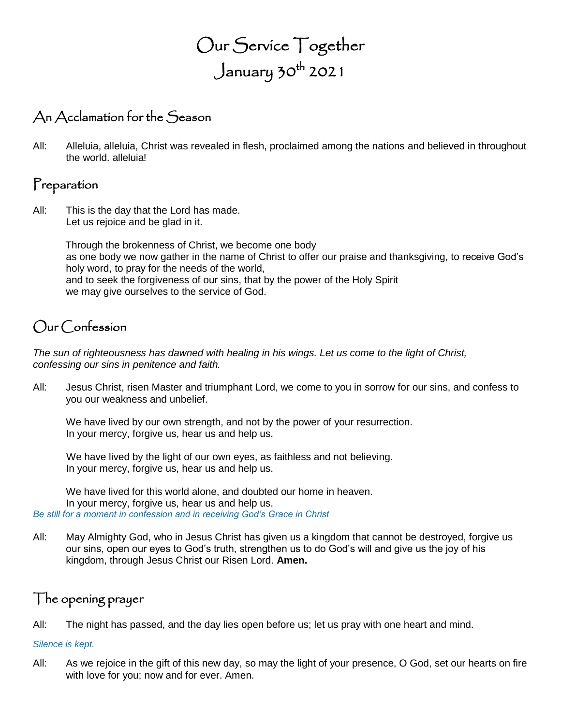# Our Service Together January 30th 2021

## An Acclamation for the Season

All: Alleluia, alleluia, Christ was revealed in flesh, proclaimed among the nations and believed in throughout the world. alleluia!

### Preparation

All: This is the day that the Lord has made. Let us rejoice and be glad in it.

> Through the brokenness of Christ, we become one body as one body we now gather in the name of Christ to offer our praise and thanksgiving, to receive God's holy word, to pray for the needs of the world, and to seek the forgiveness of our sins, that by the power of the Holy Spirit we may give ourselves to the service of God.

### Our Confession

*The sun of righteousness has dawned with healing in his wings. Let us come to the light of Christ, confessing our sins in penitence and faith.*

All: Jesus Christ, risen Master and triumphant Lord, we come to you in sorrow for our sins, and confess to you our weakness and unbelief.

We have lived by our own strength, and not by the power of your resurrection. In your mercy, forgive us, hear us and help us.

We have lived by the light of our own eyes, as faithless and not believing. In your mercy, forgive us, hear us and help us.

We have lived for this world alone, and doubted our home in heaven. In your mercy, forgive us, hear us and help us. *Be still for a moment in confession and in receiving God's Grace in Christ*

All: May Almighty God, who in Jesus Christ has given us a kingdom that cannot be destroyed, forgive us our sins, open our eyes to God's truth, strengthen us to do God's will and give us the joy of his kingdom, through Jesus Christ our Risen Lord. **Amen.**

### The opening prayer

All: The night has passed, and the day lies open before us; let us pray with one heart and mind.

#### *Silence is kept.*

All: As we rejoice in the gift of this new day, so may the light of your presence, O God, set our hearts on fire with love for you; now and for ever. Amen.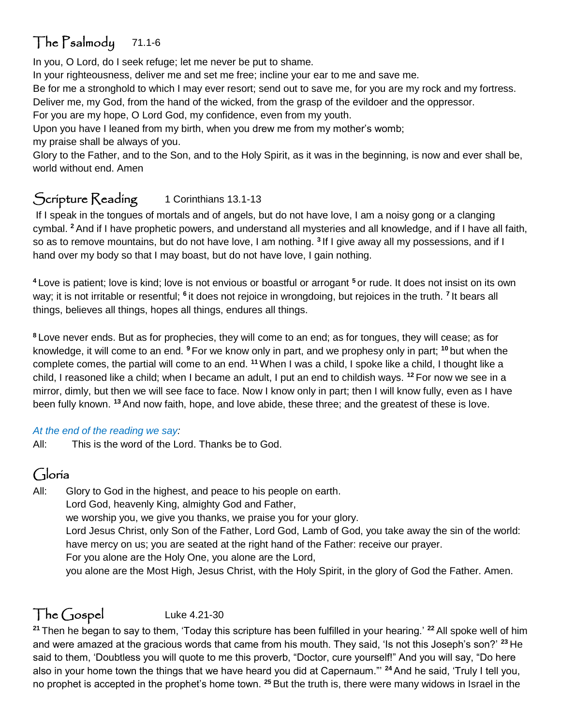## The Psalmody 71.1-6

In you, O Lord, do I seek refuge; let me never be put to shame.

In your righteousness, deliver me and set me free; incline your ear to me and save me.

Be for me a stronghold to which I may ever resort; send out to save me, for you are my rock and my fortress.

Deliver me, my God, from the hand of the wicked, from the grasp of the evildoer and the oppressor.

For you are my hope, O Lord God, my confidence, even from my youth.

Upon you have I leaned from my birth, when you drew me from my mother's womb; my praise shall be always of you.

Glory to the Father, and to the Son, and to the Holy Spirit, as it was in the beginning, is now and ever shall be, world without end. Amen

## Scripture Reading 1 Corinthians 13.1-13

If I speak in the tongues of mortals and of angels, but do not have love, I am a noisy gong or a clanging cymbal. **<sup>2</sup>** And if I have prophetic powers, and understand all mysteries and all knowledge, and if I have all faith, so as to remove mountains, but do not have love, I am nothing. **<sup>3</sup>** If I give away all my possessions, and if I hand over my body so that I may boast, but do not have love, I gain nothing.

**<sup>4</sup>** Love is patient; love is kind; love is not envious or boastful or arrogant **<sup>5</sup>** or rude. It does not insist on its own way; it is not irritable or resentful; <sup>6</sup> it does not rejoice in wrongdoing, but rejoices in the truth. <sup>7</sup> It bears all things, believes all things, hopes all things, endures all things.

**<sup>8</sup>** Love never ends. But as for prophecies, they will come to an end; as for tongues, they will cease; as for knowledge, it will come to an end. **<sup>9</sup>** For we know only in part, and we prophesy only in part; **<sup>10</sup>** but when the complete comes, the partial will come to an end. **<sup>11</sup>**When I was a child, I spoke like a child, I thought like a child, I reasoned like a child; when I became an adult, I put an end to childish ways. **<sup>12</sup>** For now we see in a mirror, dimly, but then we will see face to face. Now I know only in part; then I will know fully, even as I have been fully known. **<sup>13</sup>** And now faith, hope, and love abide, these three; and the greatest of these is love.

### *At the end of the reading we say:*

All: This is the word of the Lord. Thanks be to God.

## Gloria

All: Glory to God in the highest, and peace to his people on earth.

Lord God, heavenly King, almighty God and Father,

we worship you, we give you thanks, we praise you for your glory.

Lord Jesus Christ, only Son of the Father, Lord God, Lamb of God, you take away the sin of the world: have mercy on us; you are seated at the right hand of the Father: receive our prayer.

For you alone are the Holy One, you alone are the Lord,

you alone are the Most High, Jesus Christ, with the Holy Spirit, in the glory of God the Father. Amen.

## The Gospel Luke 4.21-30

**<sup>21</sup>** Then he began to say to them, 'Today this scripture has been fulfilled in your hearing.' **<sup>22</sup>** All spoke well of him and were amazed at the gracious words that came from his mouth. They said, 'Is not this Joseph's son?' **<sup>23</sup>** He said to them, 'Doubtless you will quote to me this proverb, "Doctor, cure yourself!" And you will say, "Do here also in your home town the things that we have heard you did at Capernaum."' **<sup>24</sup>** And he said, 'Truly I tell you, no prophet is accepted in the prophet's home town. **<sup>25</sup>** But the truth is, there were many widows in Israel in the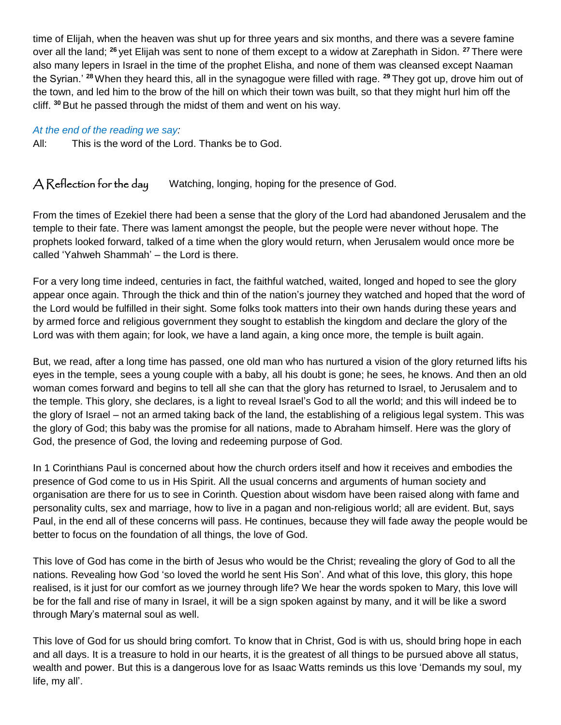time of Elijah, when the heaven was shut up for three years and six months, and there was a severe famine over all the land; **<sup>26</sup>** yet Elijah was sent to none of them except to a widow at Zarephath in Sidon. **<sup>27</sup>** There were also many lepers in Israel in the time of the prophet Elisha, and none of them was cleansed except Naaman the Syrian.' **<sup>28</sup>**When they heard this, all in the synagogue were filled with rage. **<sup>29</sup>** They got up, drove him out of the town, and led him to the brow of the hill on which their town was built, so that they might hurl him off the cliff. **<sup>30</sup>** But he passed through the midst of them and went on his way.

#### *At the end of the reading we say:*

All: This is the word of the Lord. Thanks be to God.

A Reflection for the day Watching, longing, hoping for the presence of God.

From the times of Ezekiel there had been a sense that the glory of the Lord had abandoned Jerusalem and the temple to their fate. There was lament amongst the people, but the people were never without hope. The prophets looked forward, talked of a time when the glory would return, when Jerusalem would once more be called 'Yahweh Shammah' – the Lord is there.

For a very long time indeed, centuries in fact, the faithful watched, waited, longed and hoped to see the glory appear once again. Through the thick and thin of the nation's journey they watched and hoped that the word of the Lord would be fulfilled in their sight. Some folks took matters into their own hands during these years and by armed force and religious government they sought to establish the kingdom and declare the glory of the Lord was with them again; for look, we have a land again, a king once more, the temple is built again.

But, we read, after a long time has passed, one old man who has nurtured a vision of the glory returned lifts his eyes in the temple, sees a young couple with a baby, all his doubt is gone; he sees, he knows. And then an old woman comes forward and begins to tell all she can that the glory has returned to Israel, to Jerusalem and to the temple. This glory, she declares, is a light to reveal Israel's God to all the world; and this will indeed be to the glory of Israel – not an armed taking back of the land, the establishing of a religious legal system. This was the glory of God; this baby was the promise for all nations, made to Abraham himself. Here was the glory of God, the presence of God, the loving and redeeming purpose of God.

In 1 Corinthians Paul is concerned about how the church orders itself and how it receives and embodies the presence of God come to us in His Spirit. All the usual concerns and arguments of human society and organisation are there for us to see in Corinth. Question about wisdom have been raised along with fame and personality cults, sex and marriage, how to live in a pagan and non-religious world; all are evident. But, says Paul, in the end all of these concerns will pass. He continues, because they will fade away the people would be better to focus on the foundation of all things, the love of God.

This love of God has come in the birth of Jesus who would be the Christ; revealing the glory of God to all the nations. Revealing how God 'so loved the world he sent His Son'. And what of this love, this glory, this hope realised, is it just for our comfort as we journey through life? We hear the words spoken to Mary, this love will be for the fall and rise of many in Israel, it will be a sign spoken against by many, and it will be like a sword through Mary's maternal soul as well.

This love of God for us should bring comfort. To know that in Christ, God is with us, should bring hope in each and all days. It is a treasure to hold in our hearts, it is the greatest of all things to be pursued above all status, wealth and power. But this is a dangerous love for as Isaac Watts reminds us this love 'Demands my soul, my life, my all'.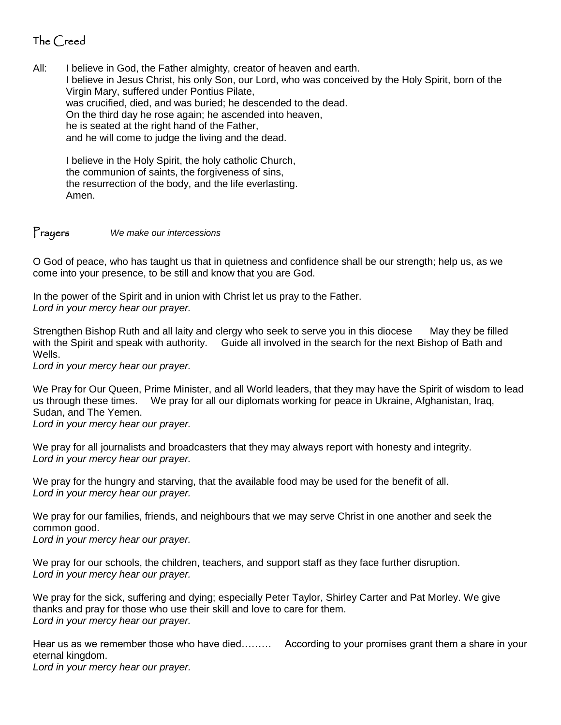### The Creed

All: I believe in God, the Father almighty, creator of heaven and earth. I believe in Jesus Christ, his only Son, our Lord, who was conceived by the Holy Spirit, born of the Virgin Mary, suffered under Pontius Pilate, was crucified, died, and was buried; he descended to the dead. On the third day he rose again; he ascended into heaven, he is seated at the right hand of the Father, and he will come to judge the living and the dead.

I believe in the Holy Spirit, the holy catholic Church, the communion of saints, the forgiveness of sins, the resurrection of the body, and the life everlasting. Amen.

#### Prayers *We make our intercessions*

O God of peace, who has taught us that in quietness and confidence shall be our strength; help us, as we come into your presence, to be still and know that you are God.

In the power of the Spirit and in union with Christ let us pray to the Father. *Lord in your mercy hear our prayer.*

Strengthen Bishop Ruth and all laity and clergy who seek to serve you in this diocese May they be filled with the Spirit and speak with authority. Guide all involved in the search for the next Bishop of Bath and Wells.

*Lord in your mercy hear our prayer.* 

We Pray for Our Queen, Prime Minister, and all World leaders, that they may have the Spirit of wisdom to lead us through these times. We pray for all our diplomats working for peace in Ukraine, Afghanistan, Iraq, Sudan, and The Yemen.

*Lord in your mercy hear our prayer.* 

We pray for all journalists and broadcasters that they may always report with honesty and integrity. *Lord in your mercy hear our prayer.*

We pray for the hungry and starving, that the available food may be used for the benefit of all. *Lord in your mercy hear our prayer.*

We pray for our families, friends, and neighbours that we may serve Christ in one another and seek the common good.

*Lord in your mercy hear our prayer.*

We pray for our schools, the children, teachers, and support staff as they face further disruption. *Lord in your mercy hear our prayer.*

We pray for the sick, suffering and dying; especially Peter Taylor, Shirley Carter and Pat Morley. We give thanks and pray for those who use their skill and love to care for them. *Lord in your mercy hear our prayer.*

Hear us as we remember those who have died……… According to your promises grant them a share in your eternal kingdom.

*Lord in your mercy hear our prayer.*